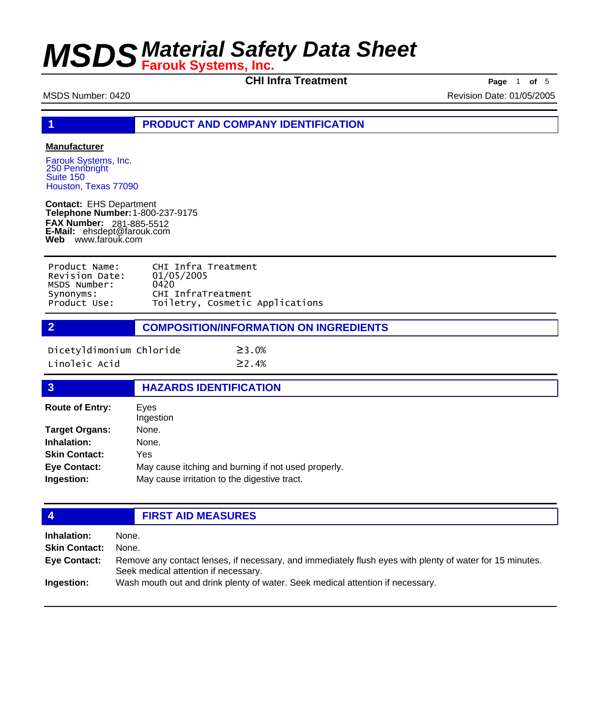**CHI Infra Treatment Page** 1 **of** 5

MSDS Number: 0420 Revision Date: 01/05/2005

**1 PRODUCT AND COMPANY IDENTIFICATION**

#### **Manufacturer**

Farouk Systems, Inc. 250 Pennbright Suite 150 Houston, Texas 77090

**Contact:** EHS Department **Telephone Number:** 1-800-237-9175 **FAX Number: FAX Number:** 281-885-5512<br>**E-Mail:** ehsdept@farouk.com **Web** www.farouk.com

| Product Name:  | CHI Infra Treatment             |
|----------------|---------------------------------|
| Revision Date: | 01/05/2005                      |
| MSDS Number:   | 0420                            |
| Synonyms:      | CHI InfraTreatment              |
| Product Use:   | Toiletry, Cosmetic Applications |
|                |                                 |

**2 COMPOSITION/INFORMATION ON INGREDIENTS**

 $≥3.0%$ 

| Dicetyldimonium Chloride |  |
|--------------------------|--|
| Linoleic Acid            |  |

 $≥2.4%$ 

### **3 HAZARDS IDENTIFICATION**

| <b>Route of Entry:</b> | Eyes<br>Ingestion                                   |
|------------------------|-----------------------------------------------------|
| <b>Target Organs:</b>  | None.                                               |
| Inhalation:            | None.                                               |
| <b>Skin Contact:</b>   | Yes                                                 |
| <b>Eye Contact:</b>    | May cause itching and burning if not used properly. |
| Ingestion:             | May cause irritation to the digestive tract.        |

| <b>47</b>            | <b>FIRST AID MEASURES</b>                                                                                                                        |  |
|----------------------|--------------------------------------------------------------------------------------------------------------------------------------------------|--|
| Inhalation:          | None.                                                                                                                                            |  |
| <b>Skin Contact:</b> | None.                                                                                                                                            |  |
| <b>Eye Contact:</b>  | Remove any contact lenses, if necessary, and immediately flush eyes with plenty of water for 15 minutes.<br>Seek medical attention if necessary. |  |
| Ingestion:           | Wash mouth out and drink plenty of water. Seek medical attention if necessary.                                                                   |  |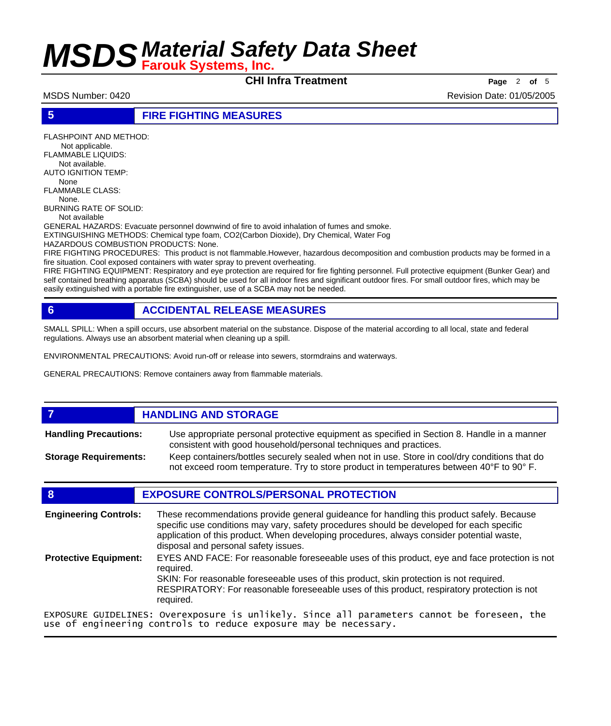**CHI Infra Treatment Page** <sup>2</sup> **of** <sup>5</sup>

MSDS Number: 0420 **Revision Date: 01/05/2005** Revision Date: 01/05/2005

**5 FIRE FIGHTING MEASURES**

FLASHPOINT AND METHOD: Not applicable. FLAMMABLE LIQUIDS:

 Not available. AUTO IGNITION TEMP:

 None FLAMMABLE CLASS:

 None. BURNING RATE OF SOLID:

Not available

GENERAL HAZARDS: Evacuate personnel downwind of fire to avoid inhalation of fumes and smoke.

EXTINGUISHING METHODS: Chemical type foam, CO2(Carbon Dioxide), Dry Chemical, Water Fog

HAZARDOUS COMBUSTION PRODUCTS: None.

FIRE FIGHTING PROCEDURES: This product is not flammable.However, hazardous decomposition and combustion products may be formed in a fire situation. Cool exposed containers with water spray to prevent overheating.

FIRE FIGHTING EQUIPMENT: Respiratory and eye protection are required for fire fighting personnel. Full protective equipment (Bunker Gear) and self contained breathing apparatus (SCBA) should be used for all indoor fires and significant outdoor fires. For small outdoor fires, which may be easily extinguished with a portable fire extinguisher, use of a SCBA may not be needed.

### **6 ACCIDENTAL RELEASE MEASURES**

SMALL SPILL: When a spill occurs, use absorbent material on the substance. Dispose of the material according to all local, state and federal regulations. Always use an absorbent material when cleaning up a spill.

ENVIRONMENTAL PRECAUTIONS: Avoid run-off or release into sewers, stormdrains and waterways.

GENERAL PRECAUTIONS: Remove containers away from flammable materials.

#### **7 HANDLING AND STORAGE** Use appropriate personal protective equipment as specified in Section 8. Handle in a manner consistent with good household/personal techniques and practices. **Handling Precautions:** Keep containers/bottles securely sealed when not in use. Store in cool/dry conditions that do not exceed room temperature. Try to store product in temperatures between 40°F to 90° F. **Storage Requirements:**

#### **8 EXPOSURE CONTROLS/PERSONAL PROTECTION**

These recommendations provide general guideance for handling this product safely. Because specific use conditions may vary, safety procedures should be developed for each specific application of this product. When developing procedures, always consider potential waste, disposal and personal safety issues. **Engineering Controls:** EYES AND FACE: For reasonable foreseeable uses of this product, eye and face protection is not required. SKIN: For reasonable foreseeable uses of this product, skin protection is not required. RESPIRATORY: For reasonable foreseeable uses of this product, respiratory protection is not required. **Protective Equipment:** EXPOSURE GUIDELINES: Overexposure is unlikely. Since all parameters cannot be foreseen, the use of engineering controls to reduce exposure may be necessary.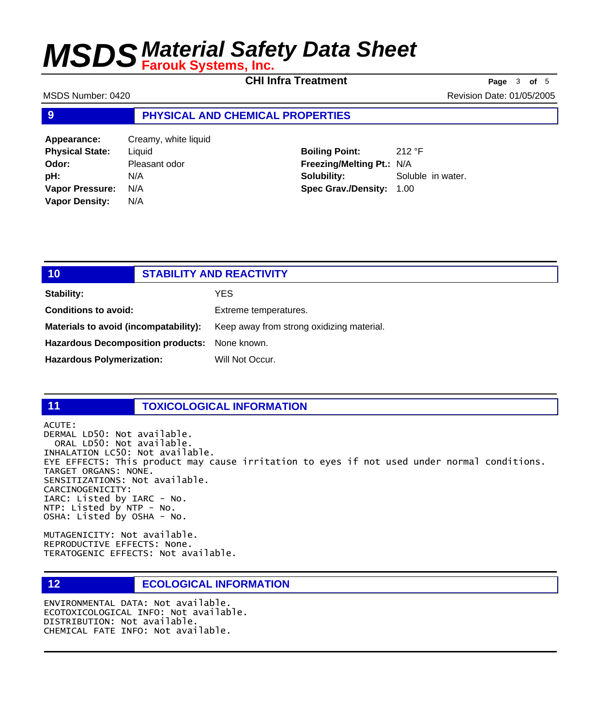**CHI Infra Treatment Page** <sup>3</sup> **of** <sup>5</sup>

MSDS Number: 0420 **Revision Date: 01/05/2005** Revision Date: 01/05/2005

#### **9 PHYSICAL AND CHEMICAL PROPERTIES**

**Appearance:** Creamy, white liquid **Physical State:** Liquid **Odor:** Pleasant odor **pH:** N/A **Vapor Pressure:** N/A **Vapor Density:** N/A

**Boiling Point:** 212 °F **Freezing/Melting Pt.:** N/A **Solubility:** Soluble in water. **Spec Grav./Density:** 1.00

| 10                                            | <b>STABILITY AND REACTIVITY</b>           |
|-----------------------------------------------|-------------------------------------------|
| Stability:                                    | YES                                       |
| <b>Conditions to avoid:</b>                   | Extreme temperatures.                     |
| Materials to avoid (incompatability):         | Keep away from strong oxidizing material. |
| Hazardous Decomposition products: None known. |                                           |
| <b>Hazardous Polymerization:</b>              | Will Not Occur.                           |

#### **11 TOXICOLOGICAL INFORMATION**

ACUTE: DERMAL LD50: Not available. ORAL LD50: Not available. INHALATION LC50: Not available. EYE EFFECTS: This product may cause irritation to eyes if not used under normal conditions. TARGET ORGANS: NONE. SENSITIZATIONS: Not available. CARCINOGENICITY: IARC: Listed by IARC - No. NTP: Listed by NTP - No. OSHA: Listed by OSHA - No.

MUTAGENICITY: Not available. REPRODUCTIVE EFFECTS: None. TERATOGENIC EFFECTS: Not available.

#### **12 ECOLOGICAL INFORMATION**

ENVIRONMENTAL DATA: Not available. ECOTOXICOLOGICAL INFO: Not available. DISTRIBUTION: Not available. CHEMICAL FATE INFO: Not available.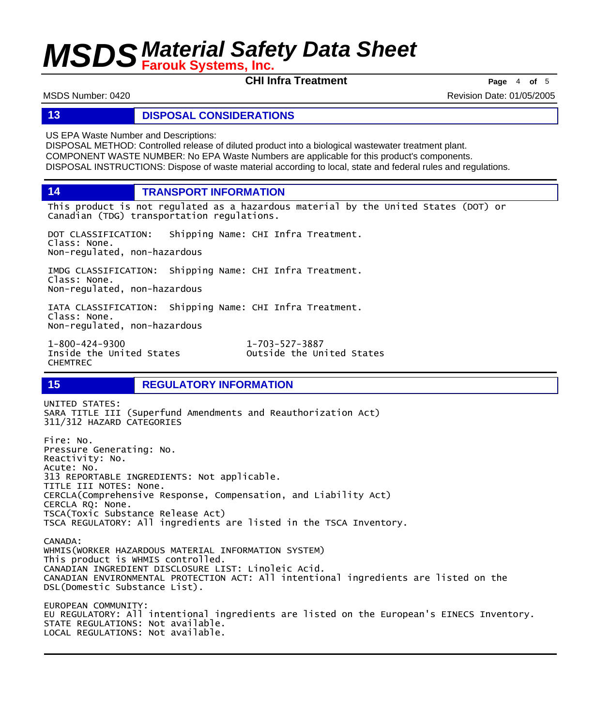**CHI Infra Treatment Page** <sup>4</sup> **of** <sup>5</sup>

MSDS Number: 0420 **Revision Date: 01/05/2005** Revision Date: 01/05/2005

#### **13 DISPOSAL CONSIDERATIONS**

US EPA Waste Number and Descriptions:

DISPOSAL METHOD: Controlled release of diluted product into a biological wastewater treatment plant. COMPONENT WASTE NUMBER: No EPA Waste Numbers are applicable for this product's components. DISPOSAL INSTRUCTIONS: Dispose of waste material according to local, state and federal rules and regulations.

**14 TRANSPORT INFORMATION**

This product is not regulated as a hazardous material by the United States (DOT) or Canadian (TDG) transportation regulations.

DOT CLASSIFICATION: Shipping Name: CHI Infra Treatment. Class: None. Non-regulated, non-hazardous

IMDG CLASSIFICATION: Shipping Name: CHI Infra Treatment. Class: None. Non-regulated, non-hazardous

IATA CLASSIFICATION: Shipping Name: CHI Infra Treatment. Class: None. Non-regulated, non-hazardous

1-800-424-9300 1-703-527-3887 CHEMTREC

Outside the United States

### **15 REGULATORY INFORMATION**

UNITED STATES: SARA TITLE III (Superfund Amendments and Reauthorization Act) 311/312 HAZARD CATEGORIES Fire: No. Pressure Generating: No. Reactivity: No. Acute: No. 313 REPORTABLE INGREDIENTS: Not applicable. TITLE III NOTES: None. CERCLA(Comprehensive Response, Compensation, and Liability Act) CERCLA RQ: None. TSCA(Toxic Substance Release Act) TSCA REGULATORY: All ingredients are listed in the TSCA Inventory. CANADA: WHMIS(WORKER HAZARDOUS MATERIAL INFORMATION SYSTEM) This product is WHMIS controlled. CANADIAN INGREDIENT DISCLOSURE LIST: Linoleic Acid. CANADIAN ENVIRONMENTAL PROTECTION ACT: All intentional ingredients are listed on the DSL(Domestic Substance List). EUROPEAN COMMUNITY: EU REGULATORY: All intentional ingredients are listed on the European's EINECS Inventory. STATE REGULATIONS: Not available.

LOCAL REGULATIONS: Not available.